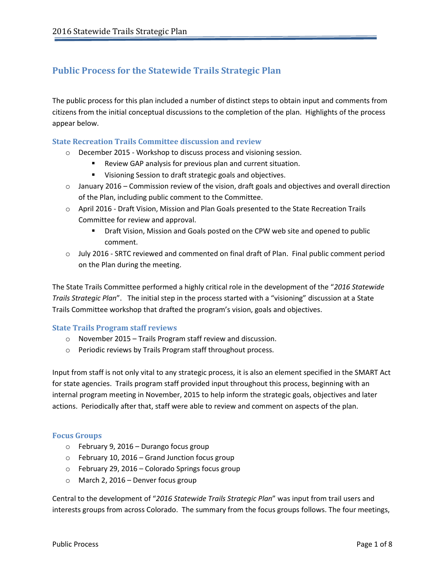# **Public Process for the Statewide Trails Strategic Plan**

The public process for this plan included a number of distinct steps to obtain input and comments from citizens from the initial conceptual discussions to the completion of the plan. Highlights of the process appear below.

#### **State Recreation Trails Committee discussion and review**

- o December 2015 Workshop to discuss process and visioning session.
	- Review GAP analysis for previous plan and current situation.
	- **Visioning Session to draft strategic goals and objectives.**
- $\circ$  January 2016 Commission review of the vision, draft goals and objectives and overall direction of the Plan, including public comment to the Committee.
- o April 2016 Draft Vision, Mission and Plan Goals presented to the State Recreation Trails Committee for review and approval.
	- Draft Vision, Mission and Goals posted on the CPW web site and opened to public comment.
- o July 2016 SRTC reviewed and commented on final draft of Plan. Final public comment period on the Plan during the meeting.

The State Trails Committee performed a highly critical role in the development of the "*2016 Statewide Trails Strategic Plan*". The initial step in the process started with a "visioning" discussion at a State Trails Committee workshop that drafted the program's vision, goals and objectives.

#### **State Trails Program staff reviews**

- o November 2015 Trails Program staff review and discussion.
- o Periodic reviews by Trails Program staff throughout process.

Input from staff is not only vital to any strategic process, it is also an element specified in the SMART Act for state agencies. Trails program staff provided input throughout this process, beginning with an internal program meeting in November, 2015 to help inform the strategic goals, objectives and later actions. Periodically after that, staff were able to review and comment on aspects of the plan.

#### **Focus Groups**

- o February 9, 2016 Durango focus group
- $\circ$  February 10, 2016 Grand Junction focus group
- o February 29, 2016 Colorado Springs focus group
- o March 2, 2016 Denver focus group

Central to the development of "*2016 Statewide Trails Strategic Plan*" was input from trail users and interests groups from across Colorado. The summary from the focus groups follows. The four meetings,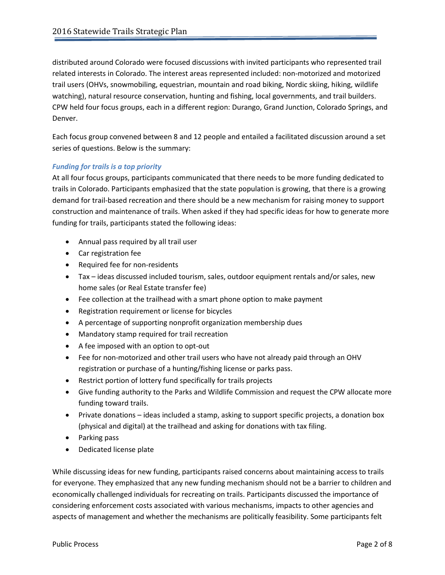distributed around Colorado were focused discussions with invited participants who represented trail related interests in Colorado. The interest areas represented included: non-motorized and motorized trail users (OHVs, snowmobiling, equestrian, mountain and road biking, Nordic skiing, hiking, wildlife watching), natural resource conservation, hunting and fishing, local governments, and trail builders. CPW held four focus groups, each in a different region: Durango, Grand Junction, Colorado Springs, and Denver.

Each focus group convened between 8 and 12 people and entailed a facilitated discussion around a set series of questions. Below is the summary:

# *Funding for trails is a top priority*

At all four focus groups, participants communicated that there needs to be more funding dedicated to trails in Colorado. Participants emphasized that the state population is growing, that there is a growing demand for trail-based recreation and there should be a new mechanism for raising money to support construction and maintenance of trails. When asked if they had specific ideas for how to generate more funding for trails, participants stated the following ideas:

- Annual pass required by all trail user
- Car registration fee
- Required fee for non-residents
- Tax ideas discussed included tourism, sales, outdoor equipment rentals and/or sales, new home sales (or Real Estate transfer fee)
- Fee collection at the trailhead with a smart phone option to make payment
- Registration requirement or license for bicycles
- A percentage of supporting nonprofit organization membership dues
- Mandatory stamp required for trail recreation
- A fee imposed with an option to opt-out
- Fee for non-motorized and other trail users who have not already paid through an OHV registration or purchase of a hunting/fishing license or parks pass.
- Restrict portion of lottery fund specifically for trails projects
- Give funding authority to the Parks and Wildlife Commission and request the CPW allocate more funding toward trails.
- Private donations ideas included a stamp, asking to support specific projects, a donation box (physical and digital) at the trailhead and asking for donations with tax filing.
- Parking pass
- Dedicated license plate

While discussing ideas for new funding, participants raised concerns about maintaining access to trails for everyone. They emphasized that any new funding mechanism should not be a barrier to children and economically challenged individuals for recreating on trails. Participants discussed the importance of considering enforcement costs associated with various mechanisms, impacts to other agencies and aspects of management and whether the mechanisms are politically feasibility. Some participants felt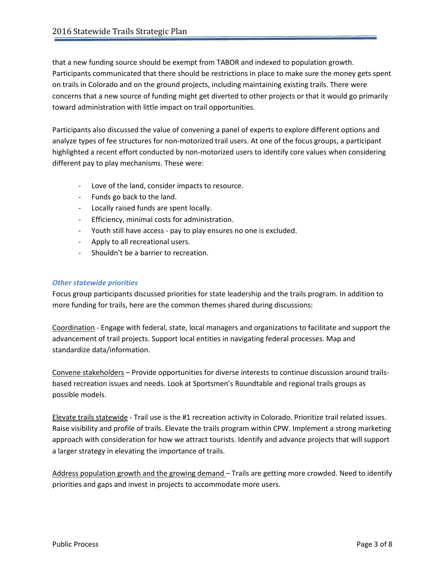that a new funding source should be exempt from TABOR and indexed to population growth. Participants communicated that there should be restrictions in place to make sure the money gets spent on trails in Colorado and on the ground projects, including maintaining existing trails. There were concerns that a new source of funding might get diverted to other projects or that it would go primarily toward administration with little impact on trail opportunities.

Participants also discussed the value of convening a panel of experts to explore different options and analyze types of fee structures for non-motorized trail users. At one of the focus groups, a participant highlighted a recent effort conducted by non-motorized users to identify core values when considering different pay to play mechanisms. These were:

- Love of the land, consider impacts to resource.
- Funds go back to the land.
- Locally raised funds are spent locally.
- Efficiency, minimal costs for administration.
- Youth still have access pay to play ensures no one is excluded.
- Apply to all recreational users.
- Shouldn't be a barrier to recreation.

## *Other statewide priorities*

Focus group participants discussed priorities for state leadership and the trails program. In addition to more funding for trails, here are the common themes shared during discussions:

Coordination - Engage with federal, state, local managers and organizations to facilitate and support the advancement of trail projects. Support local entities in navigating federal processes. Map and standardize data/information.

Convene stakeholders – Provide opportunities for diverse interests to continue discussion around trailsbased recreation issues and needs. Look at Sportsmen's Roundtable and regional trails groups as possible models.

Elevate trails statewide - Trail use is the #1 recreation activity in Colorado. Prioritize trail related issues. Raise visibility and profile of trails. Elevate the trails program within CPW. Implement a strong marketing approach with consideration for how we attract tourists. Identify and advance projects that will support a larger strategy in elevating the importance of trails.

Address population growth and the growing demand – Trails are getting more crowded. Need to identify priorities and gaps and invest in projects to accommodate more users.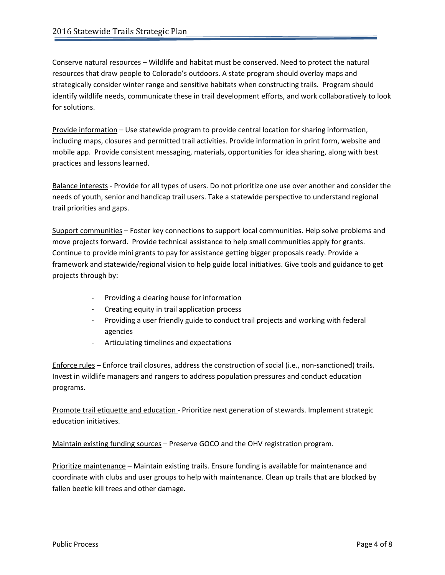Conserve natural resources – Wildlife and habitat must be conserved. Need to protect the natural resources that draw people to Colorado's outdoors. A state program should overlay maps and strategically consider winter range and sensitive habitats when constructing trails. Program should identify wildlife needs, communicate these in trail development efforts, and work collaboratively to look for solutions.

Provide information – Use statewide program to provide central location for sharing information, including maps, closures and permitted trail activities. Provide information in print form, website and mobile app. Provide consistent messaging, materials, opportunities for idea sharing, along with best practices and lessons learned.

Balance interests - Provide for all types of users. Do not prioritize one use over another and consider the needs of youth, senior and handicap trail users. Take a statewide perspective to understand regional trail priorities and gaps.

Support communities – Foster key connections to support local communities. Help solve problems and move projects forward. Provide technical assistance to help small communities apply for grants. Continue to provide mini grants to pay for assistance getting bigger proposals ready. Provide a framework and statewide/regional vision to help guide local initiatives. Give tools and guidance to get projects through by:

- Providing a clearing house for information
- Creating equity in trail application process
- Providing a user friendly guide to conduct trail projects and working with federal agencies
- Articulating timelines and expectations

Enforce rules – Enforce trail closures, address the construction of social (i.e., non-sanctioned) trails. Invest in wildlife managers and rangers to address population pressures and conduct education programs.

Promote trail etiquette and education - Prioritize next generation of stewards. Implement strategic education initiatives.

Maintain existing funding sources – Preserve GOCO and the OHV registration program.

Prioritize maintenance – Maintain existing trails. Ensure funding is available for maintenance and coordinate with clubs and user groups to help with maintenance. Clean up trails that are blocked by fallen beetle kill trees and other damage.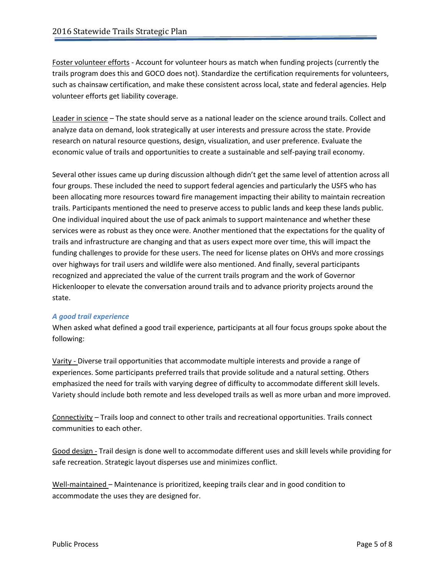Foster volunteer efforts - Account for volunteer hours as match when funding projects (currently the trails program does this and GOCO does not). Standardize the certification requirements for volunteers, such as chainsaw certification, and make these consistent across local, state and federal agencies. Help volunteer efforts get liability coverage.

Leader in science – The state should serve as a national leader on the science around trails. Collect and analyze data on demand, look strategically at user interests and pressure across the state. Provide research on natural resource questions, design, visualization, and user preference. Evaluate the economic value of trails and opportunities to create a sustainable and self-paying trail economy.

Several other issues came up during discussion although didn't get the same level of attention across all four groups. These included the need to support federal agencies and particularly the USFS who has been allocating more resources toward fire management impacting their ability to maintain recreation trails. Participants mentioned the need to preserve access to public lands and keep these lands public. One individual inquired about the use of pack animals to support maintenance and whether these services were as robust as they once were. Another mentioned that the expectations for the quality of trails and infrastructure are changing and that as users expect more over time, this will impact the funding challenges to provide for these users. The need for license plates on OHVs and more crossings over highways for trail users and wildlife were also mentioned. And finally, several participants recognized and appreciated the value of the current trails program and the work of Governor Hickenlooper to elevate the conversation around trails and to advance priority projects around the state.

### *A good trail experience*

When asked what defined a good trail experience, participants at all four focus groups spoke about the following:

Varity - Diverse trail opportunities that accommodate multiple interests and provide a range of experiences. Some participants preferred trails that provide solitude and a natural setting. Others emphasized the need for trails with varying degree of difficulty to accommodate different skill levels. Variety should include both remote and less developed trails as well as more urban and more improved.

Connectivity – Trails loop and connect to other trails and recreational opportunities. Trails connect communities to each other.

Good design - Trail design is done well to accommodate different uses and skill levels while providing for safe recreation. Strategic layout disperses use and minimizes conflict.

Well-maintained – Maintenance is prioritized, keeping trails clear and in good condition to accommodate the uses they are designed for.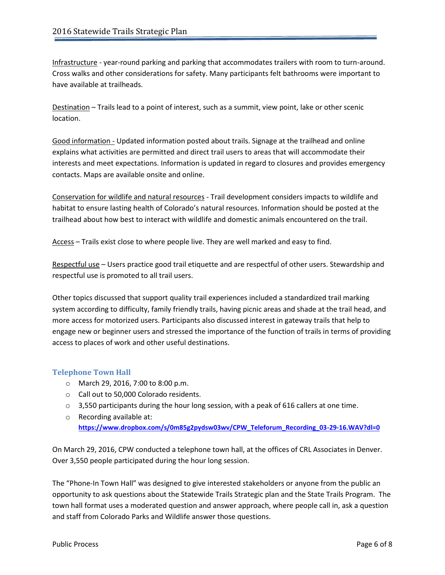Infrastructure - year-round parking and parking that accommodates trailers with room to turn-around. Cross walks and other considerations for safety. Many participants felt bathrooms were important to have available at trailheads.

Destination – Trails lead to a point of interest, such as a summit, view point, lake or other scenic location.

Good information - Updated information posted about trails. Signage at the trailhead and online explains what activities are permitted and direct trail users to areas that will accommodate their interests and meet expectations. Information is updated in regard to closures and provides emergency contacts. Maps are available onsite and online.

Conservation for wildlife and natural resources - Trail development considers impacts to wildlife and habitat to ensure lasting health of Colorado's natural resources. Information should be posted at the trailhead about how best to interact with wildlife and domestic animals encountered on the trail.

Access – Trails exist close to where people live. They are well marked and easy to find.

Respectful use – Users practice good trail etiquette and are respectful of other users. Stewardship and respectful use is promoted to all trail users.

Other topics discussed that support quality trail experiences included a standardized trail marking system according to difficulty, family friendly trails, having picnic areas and shade at the trail head, and more access for motorized users. Participants also discussed interest in gateway trails that help to engage new or beginner users and stressed the importance of the function of trails in terms of providing access to places of work and other useful destinations.

### **Telephone Town Hall**

- o March 29, 2016, 7:00 to 8:00 p.m.
- o Call out to 50,000 Colorado residents.
- $\circ$  3,550 participants during the hour long session, with a peak of 616 callers at one time.
- o Recording available at: **[https://www.dropbox.com/s/0m85g2pydsw03wv/CPW\\_Teleforum\\_Recording\\_03-29-16.WAV?dl=0](https://www.dropbox.com/s/0m85g2pydsw03wv/CPW_Teleforum_Recording_03-29-16.WAV?dl=0)**

On March 29, 2016, CPW conducted a telephone town hall, at the offices of CRL Associates in Denver. Over 3,550 people participated during the hour long session.

The "Phone-In Town Hall" was designed to give interested stakeholders or anyone from the public an opportunity to ask questions about the Statewide Trails Strategic plan and the State Trails Program. The town hall format uses a moderated question and answer approach, where people call in, ask a question and staff from Colorado Parks and Wildlife answer those questions.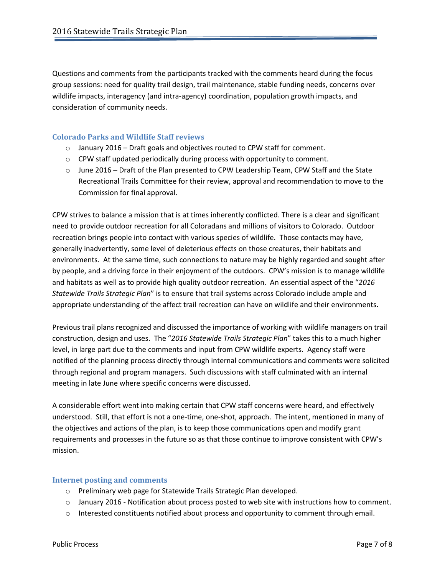Questions and comments from the participants tracked with the comments heard during the focus group sessions: need for quality trail design, trail maintenance, stable funding needs, concerns over wildlife impacts, interagency (and intra-agency) coordination, population growth impacts, and consideration of community needs.

## **Colorado Parks and Wildlife Staff reviews**

- o January 2016 Draft goals and objectives routed to CPW staff for comment.
- o CPW staff updated periodically during process with opportunity to comment.
- $\circ$  June 2016 Draft of the Plan presented to CPW Leadership Team, CPW Staff and the State Recreational Trails Committee for their review, approval and recommendation to move to the Commission for final approval.

CPW strives to balance a mission that is at times inherently conflicted. There is a clear and significant need to provide outdoor recreation for all Coloradans and millions of visitors to Colorado. Outdoor recreation brings people into contact with various species of wildlife. Those contacts may have, generally inadvertently, some level of deleterious effects on those creatures, their habitats and environments. At the same time, such connections to nature may be highly regarded and sought after by people, and a driving force in their enjoyment of the outdoors. CPW's mission is to manage wildlife and habitats as well as to provide high quality outdoor recreation. An essential aspect of the "*2016 Statewide Trails Strategic Plan*" is to ensure that trail systems across Colorado include ample and appropriate understanding of the affect trail recreation can have on wildlife and their environments.

Previous trail plans recognized and discussed the importance of working with wildlife managers on trail construction, design and uses. The "*2016 Statewide Trails Strategic Plan*" takes this to a much higher level, in large part due to the comments and input from CPW wildlife experts. Agency staff were notified of the planning process directly through internal communications and comments were solicited through regional and program managers. Such discussions with staff culminated with an internal meeting in late June where specific concerns were discussed.

A considerable effort went into making certain that CPW staff concerns were heard, and effectively understood. Still, that effort is not a one-time, one-shot, approach. The intent, mentioned in many of the objectives and actions of the plan, is to keep those communications open and modify grant requirements and processes in the future so as that those continue to improve consistent with CPW's mission.

### **Internet posting and comments**

- o Preliminary web page for Statewide Trails Strategic Plan developed.
- o January 2016 Notification about process posted to web site with instructions how to comment.
- $\circ$  Interested constituents notified about process and opportunity to comment through email.